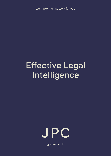We make the law work for you

# Effective Legal **Intelligence**



jpclaw.co.uk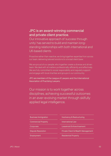## JPC is an award-winning commercial and private client practice.

Our innovative approach of 'success through unity' has served to build and maintain longstanding relationships with both international and UK-based clients.

Proactive rather than reactive, we bring together expertise from across our team, delivering tailored solutions to a broad client base.

We are proud of our people, who together create a diverse and driven team. We deal with all matters professionally, efficiently and effectively. We are fully committed to social responsibility and regularly support and engage with local charities and groups in our community.

JPC are members of the League of Lawyers and the International Association of Practising Lawyers.

Our mission is to work together across disciplines, achieving successful outcomes in an ever-evolving market through skilfully applied legal intelligence.

#### Business Immigration

Commercial Property

**Corporate** 

Dispute Resolution

Employment

Insolvency & Restructuring

International Law

Leasehold Enfranchisement

Private Client & Wealth Management

Residential Property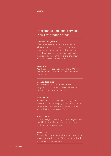## Intelligence–led legal services in six key practice areas

#### Business Immigration

Whether you are an entrepreneur starting a business in the UK, a global corporation transferring staff here or a family moving to the UK - JPC's Business Immigration Team make it their job to know everything there is to know about this evolving area of law

#### **Corporate**

Your business is our business – and JPC have some of the best corporate legal talent in the profession.

#### Dispute Resolution

JPC's Dispute Resolution team provide integrated and cost-sensitive solutions to both individual and corporate clients.

#### Employment

Employment law is constantly evolving, so we have created a dedicated employment team who make it their job to know everything there is to know about this fast moving area of law.

#### Private Client

Different stages of life bring different legal issues – and individual client matters remain at the centre of everything we do.

#### Real Estate

Property law is what we are known for – our team work at the cutting edge of the commercial and residential property sectors.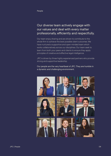## Our diverse team actively engage with our values and deal with every matter professionally, efficiently and respectfully.

Our team enjoy sharing and are driven to contribute to the whole firm to achieve the best possible client outcomes. We have nurtured a supportive and open-minded team which works collaboratively across our disciplines. Our team seek to learn from both your peers and clients to ensure they apply principles of creative and effective legal intelligence.

JPC is driven by three highly experienced partners who provide strong and supportive leadership.

Our people are the very heartbeat of JPC. They are humble in a dynamic and challenging environment.

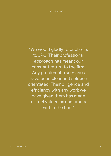"We would gladly refer clients to JPC. Their professional approach has meant our constant return to the firm. Any problematic scenarios have been clear and solution orientated. Their diligence and efficiency with any work we have given them has made us feel valued as customers within the firm."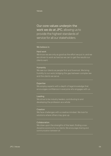Values

Our core values underpin the work we do at JPC, allowing us to provide the highest standards of service for all our stakeholders.

#### We believe in:

#### Hard work

We know we are only as good as the effort we put in, and we are driven to work as hard as we can to get the results our clients want.

#### Humanity

We see our clients as people first and foremost. We bring humility to our work, bridging the gap between complex law and the clients we serve.

#### Expertise

We employ experts with a depth of legal knowledge that encourages confidence in everyone who engages with us.

#### Leading

We strive to be industry leaders, contributing to and developing the profession as a whole.

#### Creation

We face challenges with a creative mindset. We look for solutions where others may give up.

#### **Collaboration**

We draw upon the strengths of the team, finding crossdiscipline solutions for our clients. We encourage sharing and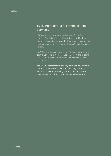### Evolving to offer a full range of legal services.

JPC is the product of a merger between Porter Crossick and the Private Client, Litigation and Trust and Probate departments of Roiter Zucker. Further expansion continued in 2009 when we were joined by the practice of Sherman Phillips.

In 2018, our expansion continued, with the acquisition of a central London practice 'Terence St J Millett' and in doing so increased our team in both residential and commercial real estate law.

Today, JPC operates from two key locations. You will find our head office based in a historic building (a former Victorian omnibus premises) in North London, and our Central London office in stunning South Kensington.